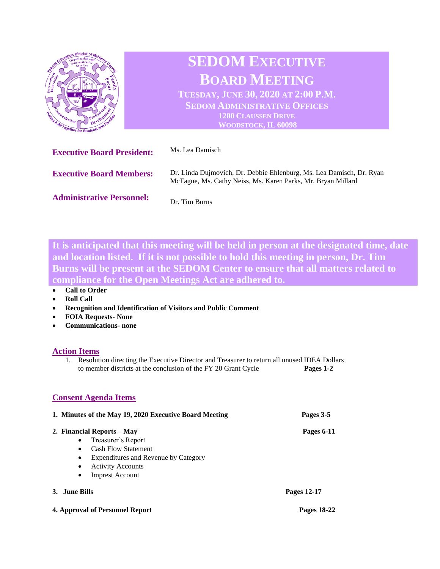

**It is anticipated that this meeting will be held in person at the designated time, date and location listed. If it is not possible to hold this meeting in person, Dr. Tim Burns will be present at the SEDOM Center to ensure that all matters related to compliance for the Open Meetings Act are adhered to.** 

## • **Call to Order**

- **Roll Call**
- **Recognition and Identification of Visitors and Public Comment**
- **FOIA Requests- None**
- **Communications- none**

## **Action Items**

1. Resolution directing the Executive Director and Treasurer to return all unused IDEA Dollars to member districts at the conclusion of the FY 20 Grant Cycle **Pages 1-2**

## **Consent Agenda Items**

| 1. Minutes of the May 19, 2020 Executive Board Meeting | Pages 3-5   |
|--------------------------------------------------------|-------------|
| 2. Financial Reports – May                             | Pages 6-11  |
| Treasurer's Report<br>$\bullet$                        |             |
| <b>Cash Flow Statement</b><br>$\bullet$                |             |
| Expenditures and Revenue by Category<br>$\bullet$      |             |
| <b>Activity Accounts</b><br>$\bullet$                  |             |
| <b>Imprest Account</b><br>$\bullet$                    |             |
| 3. June Bills                                          | Pages 12-17 |

**4. Approval of Personnel Report Pages 18-22**